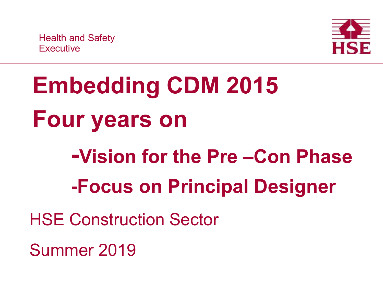

**Embedding CDM 2015 Four years on -Vision for the Pre –Con Phase -Focus on Principal Designer** HSE Construction Sector Summer 2019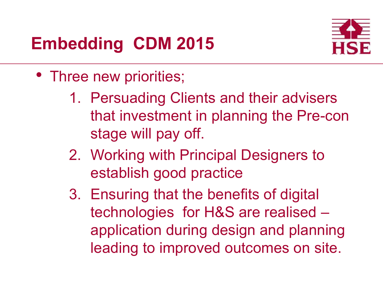#### **Embedding CDM 2015**



- Three new priorities;
	- 1. Persuading Clients and their advisers that investment in planning the Pre-con stage will pay off.
	- 2. Working with Principal Designers to establish good practice
	- 3. Ensuring that the benefits of digital technologies for H&S are realised – application during design and planning leading to improved outcomes on site.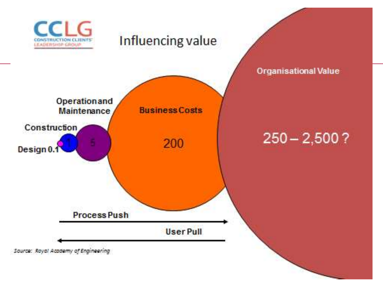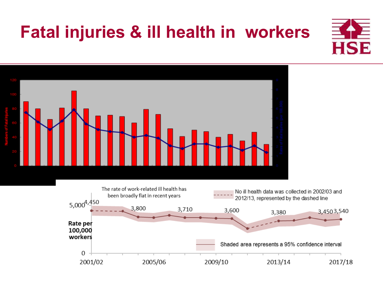## **Fatal injuries & ill health in workers**



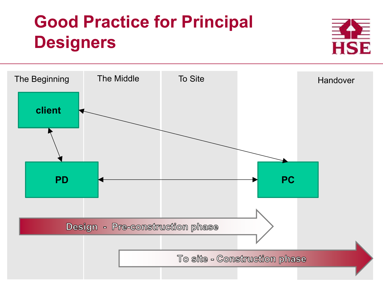## **Good Practice for Principal Designers**



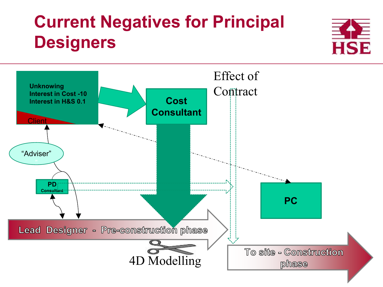## **Current Negatives for Principal Designers**



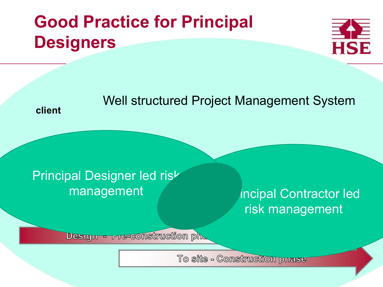#### **Good Practice for Principal Designers**



#### Well structured Project Management System

**client**

#### **Principal Designer led risk and the principal Designer led risk** management

#### incipal Contractor led risk management

**Design - Fre-construction ph.** 

To site - Construction pnase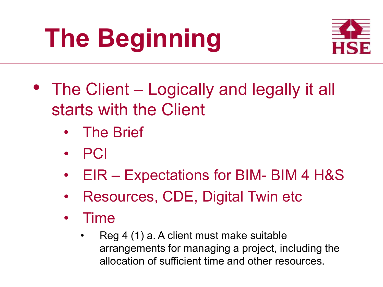# **The Beginning**



- The Client Logically and legally it all starts with the Client
	- The Brief
	- PCI
	- EIR Expectations for BIM- BIM 4 H&S
	- Resources, CDE, Digital Twin etc
	- Time
		- Reg 4 (1) a. A client must make suitable arrangements for managing a project, including the allocation of sufficient time and other resources.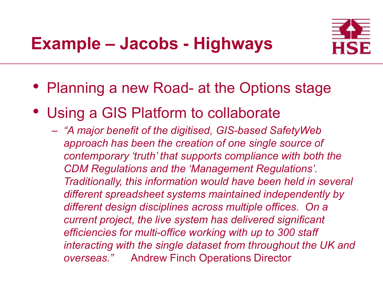

- Planning a new Road- at the Options stage
- Using a GIS Platform to collaborate
	- *"A major benefit of the digitised, GIS-based SafetyWeb approach has been the creation of one single source of contemporary 'truth' that supports compliance with both the CDM Regulations and the 'Management Regulations'. Traditionally, this information would have been held in several different spreadsheet systems maintained independently by different design disciplines across multiple offices. On a current project, the live system has delivered significant efficiencies for multi-office working with up to 300 staff interacting with the single dataset from throughout the UK and overseas."* Andrew Finch Operations Director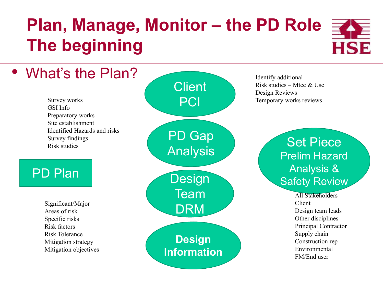## **Plan, Manage, Monitor – the PD Role The beginning**

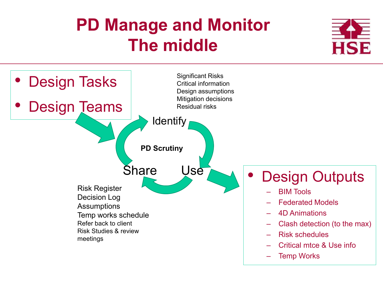#### **PD Manage and Monitor The middle**

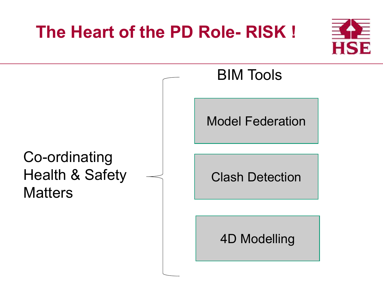#### **The Heart of the PD Role- RISK !**



## Co-ordinating Health & Safety **Matters** Clash Detection Model Federation BIM Tools

4D Modelling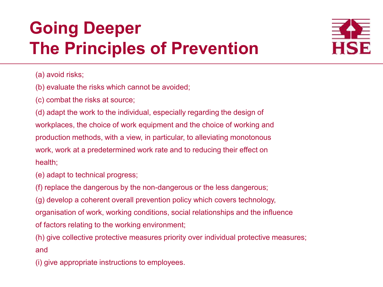#### **Going Deeper The Principles of Prevention**



(a) avoid risks;

(b) evaluate the risks which cannot be avoided;

(c) combat the risks at source;

(d) adapt the work to the individual, especially regarding the design of workplaces, the choice of work equipment and the choice of working and production methods, with a view, in particular, to alleviating monotonous work, work at a predetermined work rate and to reducing their effect on health;

(e) adapt to technical progress;

(f) replace the dangerous by the non-dangerous or the less dangerous;

(g) develop a coherent overall prevention policy which covers technology,

organisation of work, working conditions, social relationships and the influence

of factors relating to the working environment;

(h) give collective protective measures priority over individual protective measures; and

(i) give appropriate instructions to employees.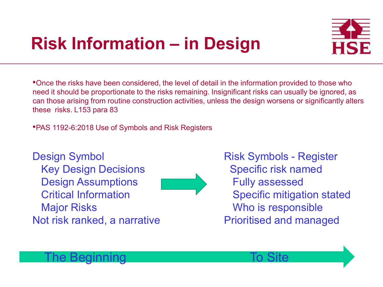#### **Risk Information – in Design**



•Once the risks have been considered, the level of detail in the information provided to those who need it should be proportionate to the risks remaining. Insignificant risks can usually be ignored, as can those arising from routine construction activities, unless the design worsens or significantly alters these risks. L153 para 83

•PAS 1192-6:2018 Use of Symbols and Risk Registers

Design Symbol **Risk Symbols - Register** Key Design Decisions The Specific risk named Design Assumptions **Fully** Assessed Major Risks Who is responsible Not risk ranked, a narrative **Prioritised** and managed



Critical Information **Specific mitigation stated** 

#### The Beginning To Site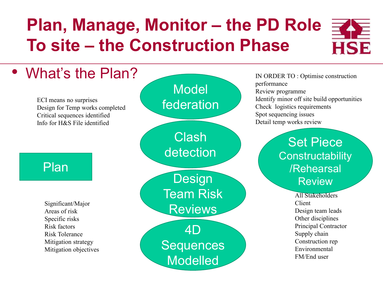## **Plan, Manage, Monitor – the PD Role To site – the Construction Phase**

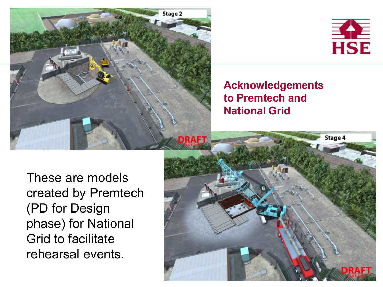



**Acknowledgements to Premtech and National Grid**

These are models created by Premtech (PD for Design phase) for National Grid to facilitate rehearsal events.

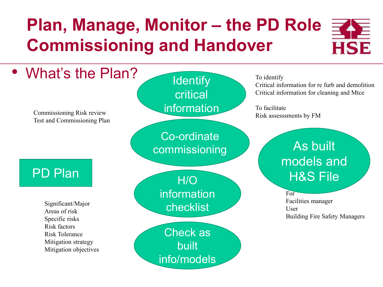## **Plan, Manage, Monitor – the PD Role Commissioning and Handover**

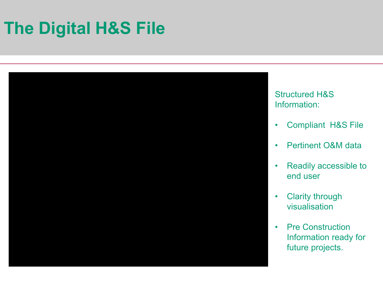#### **The Digital H&S File**



Structured H&S Information:

- Compliant H&S File
- Pertinent O&M data
- Readily accessible to end user
- **Clarity through** visualisation
- Pre Construction Information ready for future projects.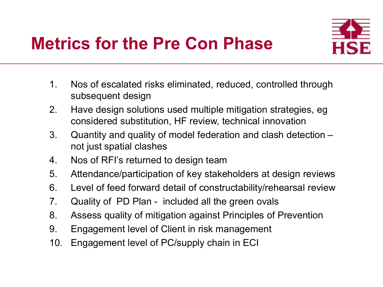- 1. Nos of escalated risks eliminated, reduced, controlled through subsequent design
- 2. Have design solutions used multiple mitigation strategies, eg considered substitution, HF review, technical innovation
- 3. Quantity and quality of model federation and clash detection not just spatial clashes
- 4. Nos of RFI's returned to design team
- 5. Attendance/participation of key stakeholders at design reviews
- 6. Level of feed forward detail of constructability/rehearsal review
- 7. Quality of PD Plan included all the green ovals
- 8. Assess quality of mitigation against Principles of Prevention
- 9. Engagement level of Client in risk management
- 10. Engagement level of PC/supply chain in ECI